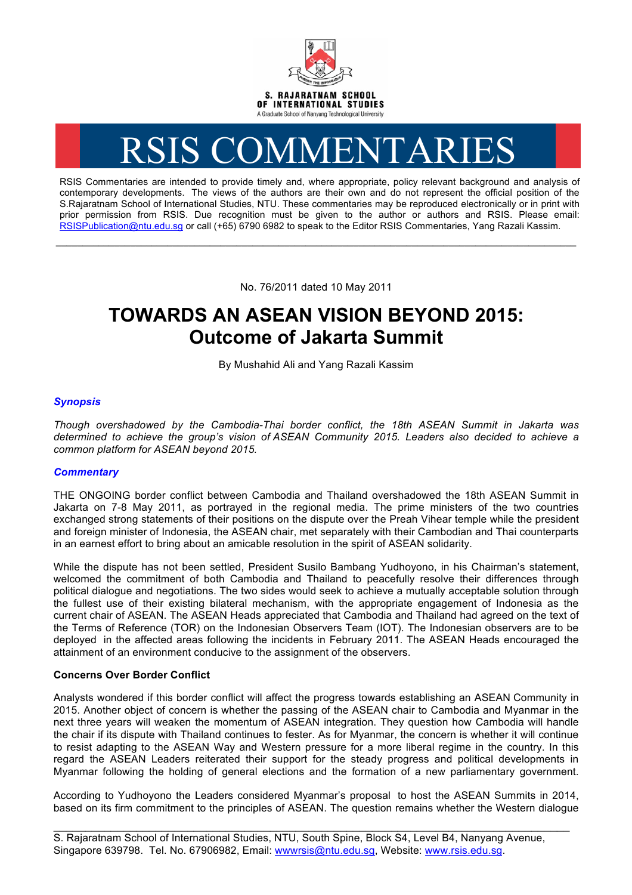

# RSIS COMMENTARIES

RSIS Commentaries are intended to provide timely and, where appropriate, policy relevant background and analysis of contemporary developments. The views of the authors are their own and do not represent the official position of the S.Rajaratnam School of International Studies, NTU. These commentaries may be reproduced electronically or in print with prior permission from RSIS. Due recognition must be given to the author or authors and RSIS. Please email: RSISPublication@ntu.edu.sg or call (+65) 6790 6982 to speak to the Editor RSIS Commentaries, Yang Razali Kassim.

No. 76/2011 dated 10 May 2011

**\_\_\_\_\_\_\_\_\_\_\_\_\_\_\_\_\_\_\_\_\_\_\_\_\_\_\_\_\_\_\_\_\_\_\_\_\_\_\_\_\_\_\_\_\_\_\_\_\_\_\_\_\_\_\_\_\_\_\_\_\_\_\_\_\_\_\_\_\_\_\_\_\_\_\_\_\_\_\_\_\_\_\_\_\_\_\_\_\_\_\_\_\_\_\_\_\_\_**

# **TOWARDS AN ASEAN VISION BEYOND 2015: Outcome of Jakarta Summit**

By Mushahid Ali and Yang Razali Kassim

## *Synopsis*

*Though overshadowed by the Cambodia-Thai border conflict, the 18th ASEAN Summit in Jakarta was determined to achieve the group's vision of ASEAN Community 2015. Leaders also decided to achieve a common platform for ASEAN beyond 2015.*

### *Commentary*

THE ONGOING border conflict between Cambodia and Thailand overshadowed the 18th ASEAN Summit in Jakarta on 7-8 May 2011, as portrayed in the regional media. The prime ministers of the two countries exchanged strong statements of their positions on the dispute over the Preah Vihear temple while the president and foreign minister of Indonesia, the ASEAN chair, met separately with their Cambodian and Thai counterparts in an earnest effort to bring about an amicable resolution in the spirit of ASEAN solidarity.

While the dispute has not been settled, President Susilo Bambang Yudhoyono, in his Chairman's statement, welcomed the commitment of both Cambodia and Thailand to peacefully resolve their differences through political dialogue and negotiations. The two sides would seek to achieve a mutually acceptable solution through the fullest use of their existing bilateral mechanism, with the appropriate engagement of Indonesia as the current chair of ASEAN. The ASEAN Heads appreciated that Cambodia and Thailand had agreed on the text of the Terms of Reference (TOR) on the Indonesian Observers Team (IOT). The Indonesian observers are to be deployed in the affected areas following the incidents in February 2011. The ASEAN Heads encouraged the attainment of an environment conducive to the assignment of the observers.

### **Concerns Over Border Conflict**

Analysts wondered if this border conflict will affect the progress towards establishing an ASEAN Community in 2015. Another object of concern is whether the passing of the ASEAN chair to Cambodia and Myanmar in the next three years will weaken the momentum of ASEAN integration. They question how Cambodia will handle the chair if its dispute with Thailand continues to fester. As for Myanmar, the concern is whether it will continue to resist adapting to the ASEAN Way and Western pressure for a more liberal regime in the country. In this regard the ASEAN Leaders reiterated their support for the steady progress and political developments in Myanmar following the holding of general elections and the formation of a new parliamentary government.

According to Yudhoyono the Leaders considered Myanmar's proposal to host the ASEAN Summits in 2014, based on its firm commitment to the principles of ASEAN. The question remains whether the Western dialogue